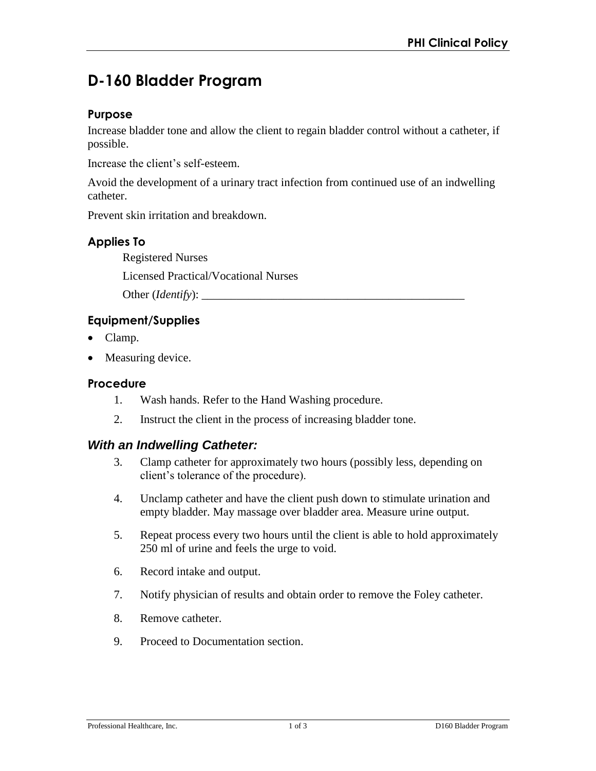# **D-160 Bladder Program**

### **Purpose**

Increase bladder tone and allow the client to regain bladder control without a catheter, if possible.

Increase the client's self-esteem.

Avoid the development of a urinary tract infection from continued use of an indwelling catheter.

Prevent skin irritation and breakdown.

# **Applies To**

Registered Nurses

Licensed Practical/Vocational Nurses

Other (*Identify*):

# **Equipment/Supplies**

- Clamp.
- Measuring device.

#### **Procedure**

- 1. Wash hands. Refer to the Hand Washing procedure.
- 2. Instruct the client in the process of increasing bladder tone.

# *With an Indwelling Catheter:*

- 3. Clamp catheter for approximately two hours (possibly less, depending on client's tolerance of the procedure).
- 4. Unclamp catheter and have the client push down to stimulate urination and empty bladder. May massage over bladder area. Measure urine output.
- 5. Repeat process every two hours until the client is able to hold approximately 250 ml of urine and feels the urge to void.
- 6. Record intake and output.
- 7. Notify physician of results and obtain order to remove the Foley catheter.
- 8. Remove catheter.
- 9. Proceed to Documentation section.